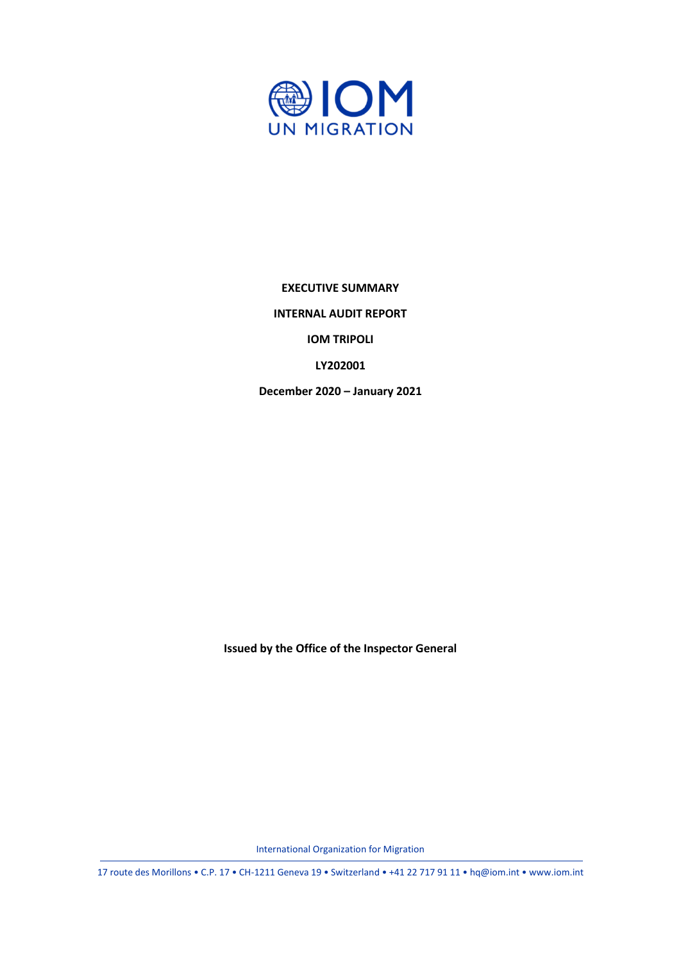

**EXECUTIVE SUMMARY INTERNAL AUDIT REPORT IOM TRIPOLI LY202001**

**December 2020 – January 2021**

**Issued by the Office of the Inspector General**

International Organization for Migration

17 route des Morillons • C.P. 17 • CH-1211 Geneva 19 • Switzerland • +41 22 717 91 11 • hq@iom.int • www.iom.int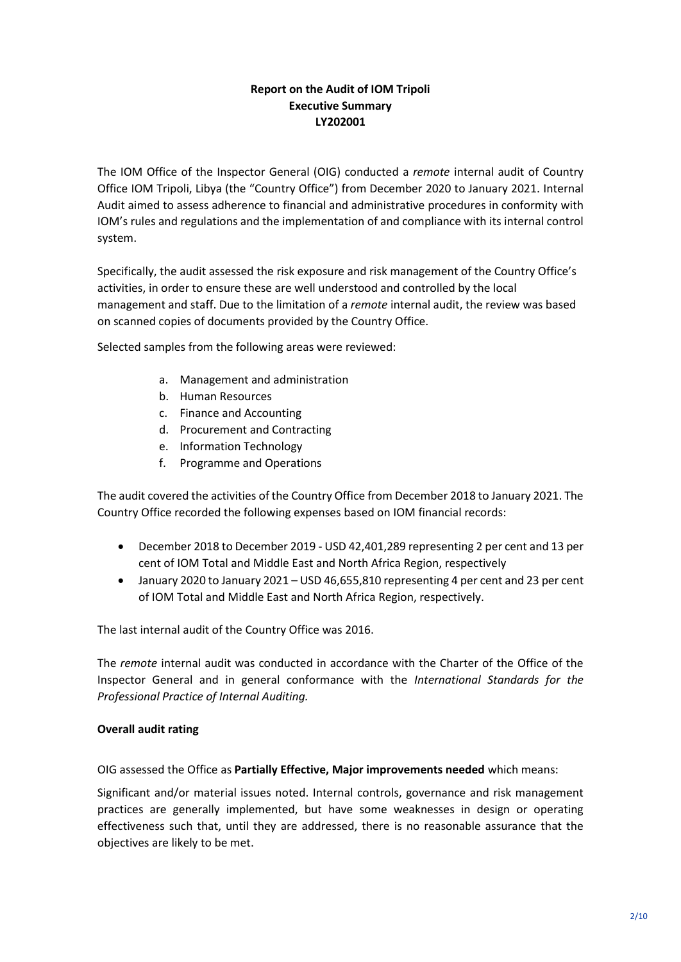# **Report on the Audit of IOM Tripoli Executive Summary LY202001**

The IOM Office of the Inspector General (OIG) conducted a *remote* internal audit of Country Office IOM Tripoli, Libya (the "Country Office") from December 2020 to January 2021. Internal Audit aimed to assess adherence to financial and administrative procedures in conformity with IOM's rules and regulations and the implementation of and compliance with its internal control system.

Specifically, the audit assessed the risk exposure and risk management of the Country Office's activities, in order to ensure these are well understood and controlled by the local management and staff. Due to the limitation of a *remote* internal audit, the review was based on scanned copies of documents provided by the Country Office.

Selected samples from the following areas were reviewed:

- a. Management and administration
- b. Human Resources
- c. Finance and Accounting
- d. Procurement and Contracting
- e. Information Technology
- f. Programme and Operations

The audit covered the activities of the Country Office from December 2018 to January 2021. The Country Office recorded the following expenses based on IOM financial records:

- December 2018 to December 2019 USD 42,401,289 representing 2 per cent and 13 per cent of IOM Total and Middle East and North Africa Region, respectively
- January 2020 to January 2021 USD 46,655,810 representing 4 per cent and 23 per cent of IOM Total and Middle East and North Africa Region, respectively.

The last internal audit of the Country Office was 2016.

The *remote* internal audit was conducted in accordance with the Charter of the Office of the Inspector General and in general conformance with the *International Standards for the Professional Practice of Internal Auditing.*

#### **Overall audit rating**

OIG assessed the Office as **Partially Effective, Major improvements needed** which means:

Significant and/or material issues noted. Internal controls, governance and risk management practices are generally implemented, but have some weaknesses in design or operating effectiveness such that, until they are addressed, there is no reasonable assurance that the objectives are likely to be met.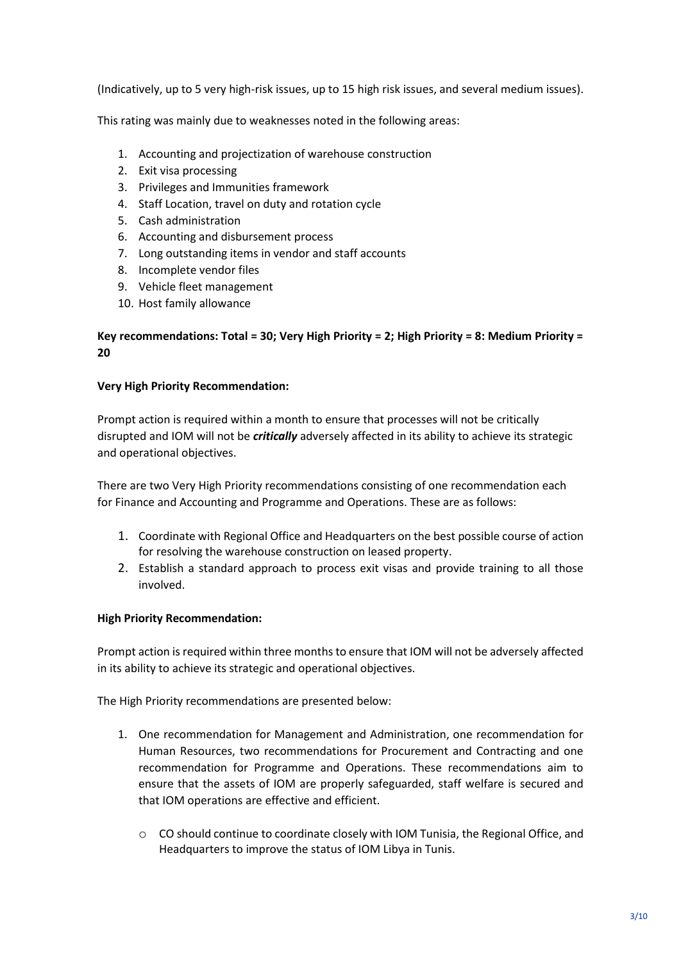(Indicatively, up to 5 very high-risk issues, up to 15 high risk issues, and several medium issues).

This rating was mainly due to weaknesses noted in the following areas:

- 1. Accounting and projectization of warehouse construction
- 2. Exit visa processing
- 3. Privileges and Immunities framework
- 4. Staff Location, travel on duty and rotation cycle
- 5. Cash administration
- 6. Accounting and disbursement process
- 7. Long outstanding items in vendor and staff accounts
- 8. Incomplete vendor files
- 9. Vehicle fleet management
- 10. Host family allowance

## **Key recommendations: Total = 30; Very High Priority = 2; High Priority = 8: Medium Priority = 20**

#### **Very High Priority Recommendation:**

Prompt action is required within a month to ensure that processes will not be critically disrupted and IOM will not be *critically* adversely affected in its ability to achieve its strategic and operational objectives.

There are two Very High Priority recommendations consisting of one recommendation each for Finance and Accounting and Programme and Operations. These are as follows:

- 1. Coordinate with Regional Office and Headquarters on the best possible course of action for resolving the warehouse construction on leased property.
- 2. Establish a standard approach to process exit visas and provide training to all those involved.

#### **High Priority Recommendation:**

Prompt action is required within three months to ensure that IOM will not be adversely affected in its ability to achieve its strategic and operational objectives.

The High Priority recommendations are presented below:

- 1. One recommendation for Management and Administration, one recommendation for Human Resources, two recommendations for Procurement and Contracting and one recommendation for Programme and Operations. These recommendations aim to ensure that the assets of IOM are properly safeguarded, staff welfare is secured and that IOM operations are effective and efficient.
	- $\circ$  CO should continue to coordinate closely with IOM Tunisia, the Regional Office, and Headquarters to improve the status of IOM Libya in Tunis.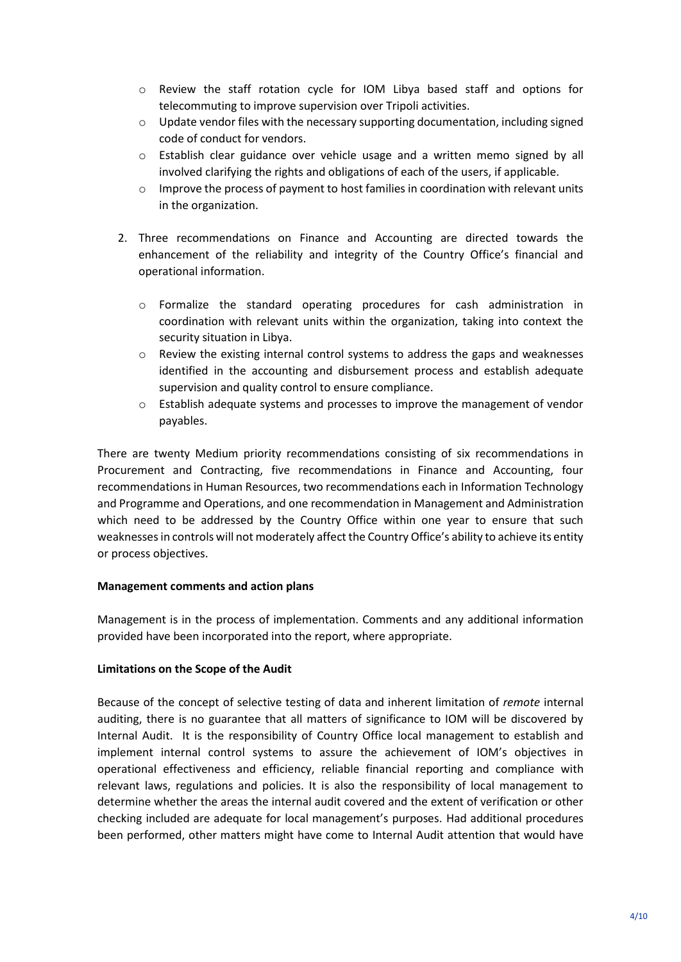- o Review the staff rotation cycle for IOM Libya based staff and options for telecommuting to improve supervision over Tripoli activities.
- $\circ$  Update vendor files with the necessary supporting documentation, including signed code of conduct for vendors.
- $\circ$  Establish clear guidance over vehicle usage and a written memo signed by all involved clarifying the rights and obligations of each of the users, if applicable.
- $\circ$  Improve the process of payment to host families in coordination with relevant units in the organization.
- 2. Three recommendations on Finance and Accounting are directed towards the enhancement of the reliability and integrity of the Country Office's financial and operational information.
	- o Formalize the standard operating procedures for cash administration in coordination with relevant units within the organization, taking into context the security situation in Libya.
	- $\circ$  Review the existing internal control systems to address the gaps and weaknesses identified in the accounting and disbursement process and establish adequate supervision and quality control to ensure compliance.
	- o Establish adequate systems and processes to improve the management of vendor payables.

There are twenty Medium priority recommendations consisting of six recommendations in Procurement and Contracting, five recommendations in Finance and Accounting, four recommendations in Human Resources, two recommendations each in Information Technology and Programme and Operations, and one recommendation in Management and Administration which need to be addressed by the Country Office within one year to ensure that such weaknesses in controls will not moderately affect the Country Office's ability to achieve its entity or process objectives.

## **Management comments and action plans**

Management is in the process of implementation. Comments and any additional information provided have been incorporated into the report, where appropriate.

## **Limitations on the Scope of the Audit**

Because of the concept of selective testing of data and inherent limitation of *remote* internal auditing, there is no guarantee that all matters of significance to IOM will be discovered by Internal Audit. It is the responsibility of Country Office local management to establish and implement internal control systems to assure the achievement of IOM's objectives in operational effectiveness and efficiency, reliable financial reporting and compliance with relevant laws, regulations and policies. It is also the responsibility of local management to determine whether the areas the internal audit covered and the extent of verification or other checking included are adequate for local management's purposes. Had additional procedures been performed, other matters might have come to Internal Audit attention that would have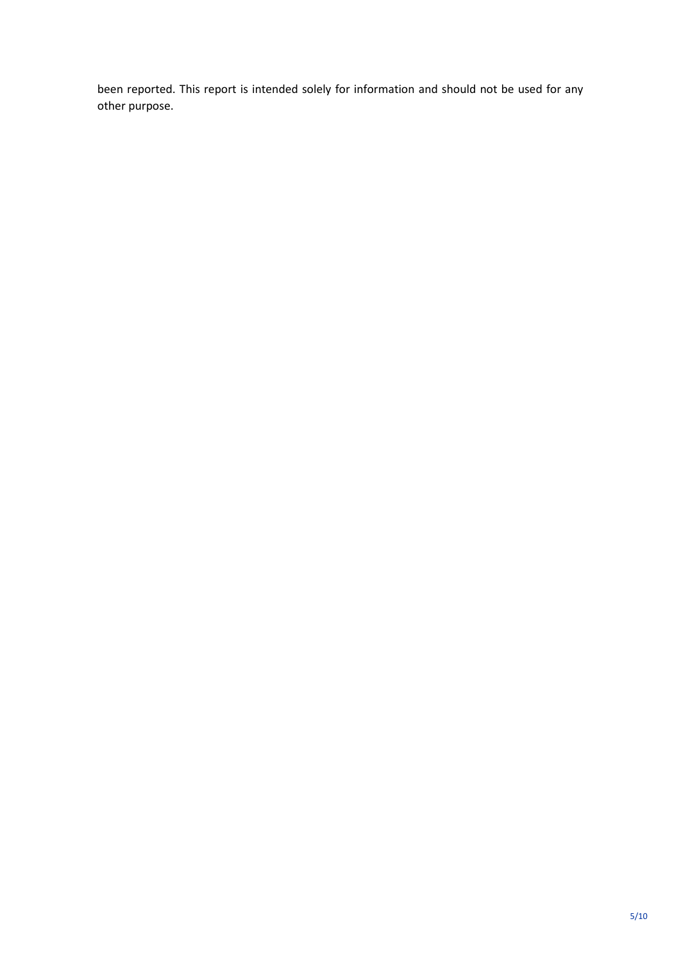been reported. This report is intended solely for information and should not be used for any other purpose.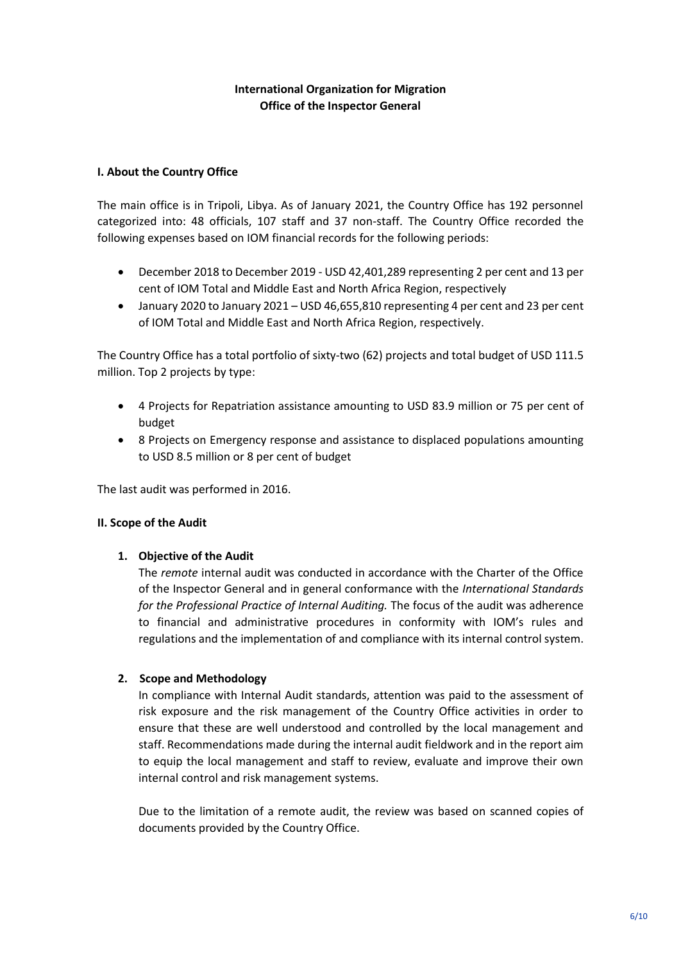## **International Organization for Migration Office of the Inspector General**

### **I. About the Country Office**

The main office is in Tripoli, Libya. As of January 2021, the Country Office has 192 personnel categorized into: 48 officials, 107 staff and 37 non-staff. The Country Office recorded the following expenses based on IOM financial records for the following periods:

- December 2018 to December 2019 USD 42,401,289 representing 2 per cent and 13 per cent of IOM Total and Middle East and North Africa Region, respectively
- January 2020 to January 2021 USD 46,655,810 representing 4 per cent and 23 per cent of IOM Total and Middle East and North Africa Region, respectively.

The Country Office has a total portfolio of sixty-two (62) projects and total budget of USD 111.5 million. Top 2 projects by type:

- 4 Projects for Repatriation assistance amounting to USD 83.9 million or 75 per cent of budget
- 8 Projects on Emergency response and assistance to displaced populations amounting to USD 8.5 million or 8 per cent of budget

The last audit was performed in 2016.

#### **II. Scope of the Audit**

#### **1. Objective of the Audit**

The *remote* internal audit was conducted in accordance with the Charter of the Office of the Inspector General and in general conformance with the *International Standards for the Professional Practice of Internal Auditing.* The focus of the audit was adherence to financial and administrative procedures in conformity with IOM's rules and regulations and the implementation of and compliance with its internal control system.

## **2. Scope and Methodology**

In compliance with Internal Audit standards, attention was paid to the assessment of risk exposure and the risk management of the Country Office activities in order to ensure that these are well understood and controlled by the local management and staff. Recommendations made during the internal audit fieldwork and in the report aim to equip the local management and staff to review, evaluate and improve their own internal control and risk management systems.

Due to the limitation of a remote audit, the review was based on scanned copies of documents provided by the Country Office.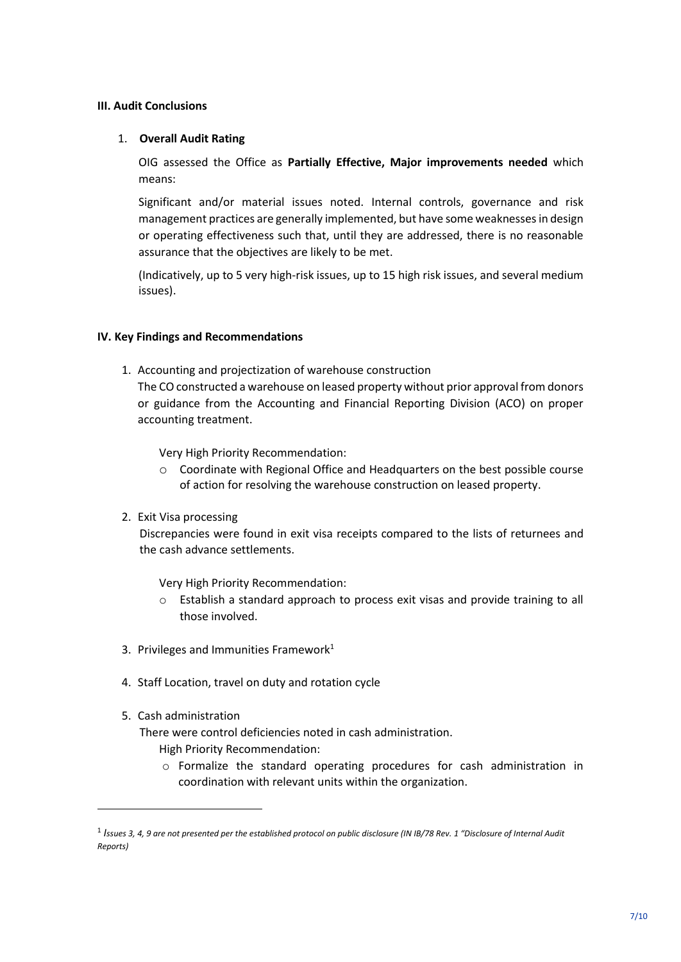#### **III. Audit Conclusions**

#### 1. **Overall Audit Rating**

OIG assessed the Office as **Partially Effective, Major improvements needed** which means:

Significant and/or material issues noted. Internal controls, governance and risk management practices are generally implemented, but have some weaknesses in design or operating effectiveness such that, until they are addressed, there is no reasonable assurance that the objectives are likely to be met.

(Indicatively, up to 5 very high-risk issues, up to 15 high risk issues, and several medium issues).

### **IV. Key Findings and Recommendations**

1. Accounting and projectization of warehouse construction

The CO constructed a warehouse on leased property without prior approval from donors or guidance from the Accounting and Financial Reporting Division (ACO) on proper accounting treatment.

Very High Priority Recommendation:

- o Coordinate with Regional Office and Headquarters on the best possible course of action for resolving the warehouse construction on leased property.
- 2. Exit Visa processing

Discrepancies were found in exit visa receipts compared to the lists of returnees and the cash advance settlements.

Very High Priority Recommendation:

- $\circ$  Establish a standard approach to process exit visas and provide training to all those involved.
- 3. Privileges and Immunities Framework $1$
- 4. Staff Location, travel on duty and rotation cycle
- 5. Cash administration

There were control deficiencies noted in cash administration. High Priority Recommendation:

o Formalize the standard operating procedures for cash administration in coordination with relevant units within the organization.

<sup>1</sup> *Issues 3, 4, 9 are not presented per the established protocol on public disclosure (IN IB/78 Rev. 1 "Disclosure of Internal Audit Reports)*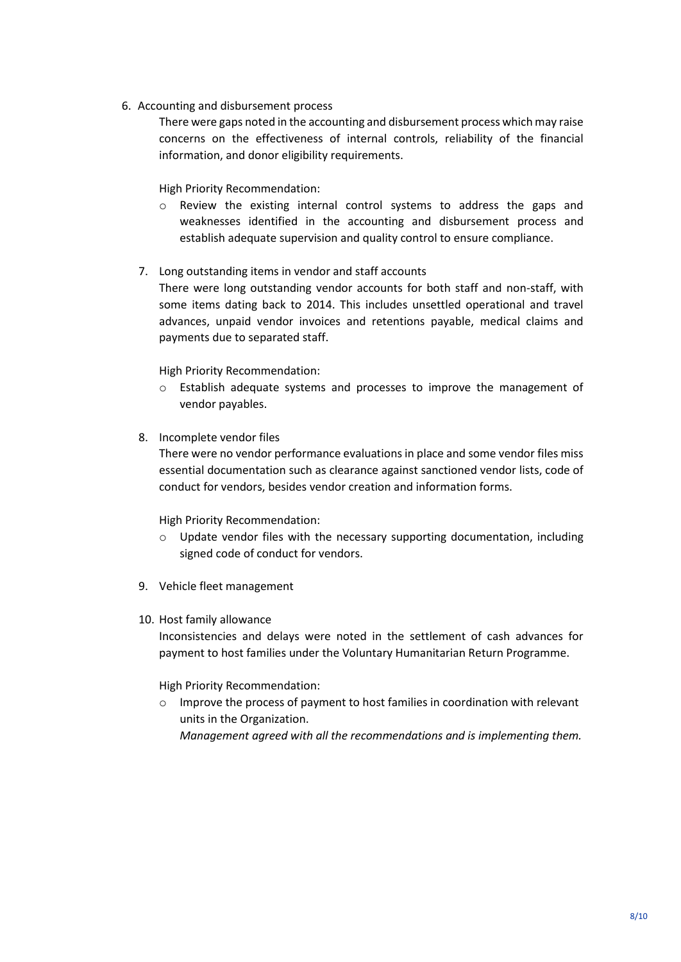6. Accounting and disbursement process

There were gaps noted in the accounting and disbursement process which may raise concerns on the effectiveness of internal controls, reliability of the financial information, and donor eligibility requirements.

High Priority Recommendation:

- o Review the existing internal control systems to address the gaps and weaknesses identified in the accounting and disbursement process and establish adequate supervision and quality control to ensure compliance.
- 7. Long outstanding items in vendor and staff accounts

There were long outstanding vendor accounts for both staff and non-staff, with some items dating back to 2014. This includes unsettled operational and travel advances, unpaid vendor invoices and retentions payable, medical claims and payments due to separated staff.

High Priority Recommendation:

- o Establish adequate systems and processes to improve the management of vendor payables.
- 8. Incomplete vendor files

There were no vendor performance evaluations in place and some vendor files miss essential documentation such as clearance against sanctioned vendor lists, code of conduct for vendors, besides vendor creation and information forms.

High Priority Recommendation:

- o Update vendor files with the necessary supporting documentation, including signed code of conduct for vendors.
- 9. Vehicle fleet management
- 10. Host family allowance

Inconsistencies and delays were noted in the settlement of cash advances for payment to host families under the Voluntary Humanitarian Return Programme.

High Priority Recommendation:

o Improve the process of payment to host families in coordination with relevant units in the Organization.

*Management agreed with all the recommendations and is implementing them.*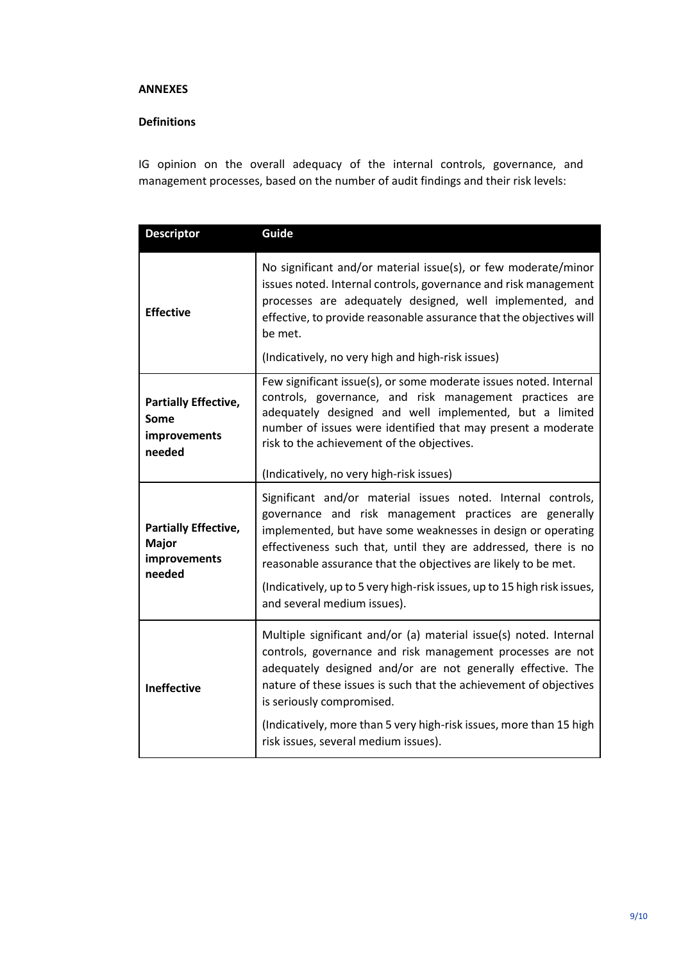#### **ANNEXES**

### **Definitions**

IG opinion on the overall adequacy of the internal controls, governance, and management processes, based on the number of audit findings and their risk levels:

| <b>Descriptor</b>                                                     | Guide                                                                                                                                                                                                                                                                                                                                                                                                                                 |  |  |  |
|-----------------------------------------------------------------------|---------------------------------------------------------------------------------------------------------------------------------------------------------------------------------------------------------------------------------------------------------------------------------------------------------------------------------------------------------------------------------------------------------------------------------------|--|--|--|
| <b>Effective</b>                                                      | No significant and/or material issue(s), or few moderate/minor<br>issues noted. Internal controls, governance and risk management<br>processes are adequately designed, well implemented, and<br>effective, to provide reasonable assurance that the objectives will<br>be met.                                                                                                                                                       |  |  |  |
|                                                                       | (Indicatively, no very high and high-risk issues)                                                                                                                                                                                                                                                                                                                                                                                     |  |  |  |
| <b>Partially Effective,</b><br>Some<br>improvements<br>needed         | Few significant issue(s), or some moderate issues noted. Internal<br>controls, governance, and risk management practices are<br>adequately designed and well implemented, but a limited<br>number of issues were identified that may present a moderate<br>risk to the achievement of the objectives.                                                                                                                                 |  |  |  |
|                                                                       | (Indicatively, no very high-risk issues)                                                                                                                                                                                                                                                                                                                                                                                              |  |  |  |
| <b>Partially Effective,</b><br><b>Major</b><br>improvements<br>needed | Significant and/or material issues noted. Internal controls,<br>governance and risk management practices are generally<br>implemented, but have some weaknesses in design or operating<br>effectiveness such that, until they are addressed, there is no<br>reasonable assurance that the objectives are likely to be met.<br>(Indicatively, up to 5 very high-risk issues, up to 15 high risk issues,<br>and several medium issues). |  |  |  |
| <b>Ineffective</b>                                                    | Multiple significant and/or (a) material issue(s) noted. Internal<br>controls, governance and risk management processes are not<br>adequately designed and/or are not generally effective. The<br>nature of these issues is such that the achievement of objectives<br>is seriously compromised.<br>(Indicatively, more than 5 very high-risk issues, more than 15 high<br>risk issues, several medium issues).                       |  |  |  |